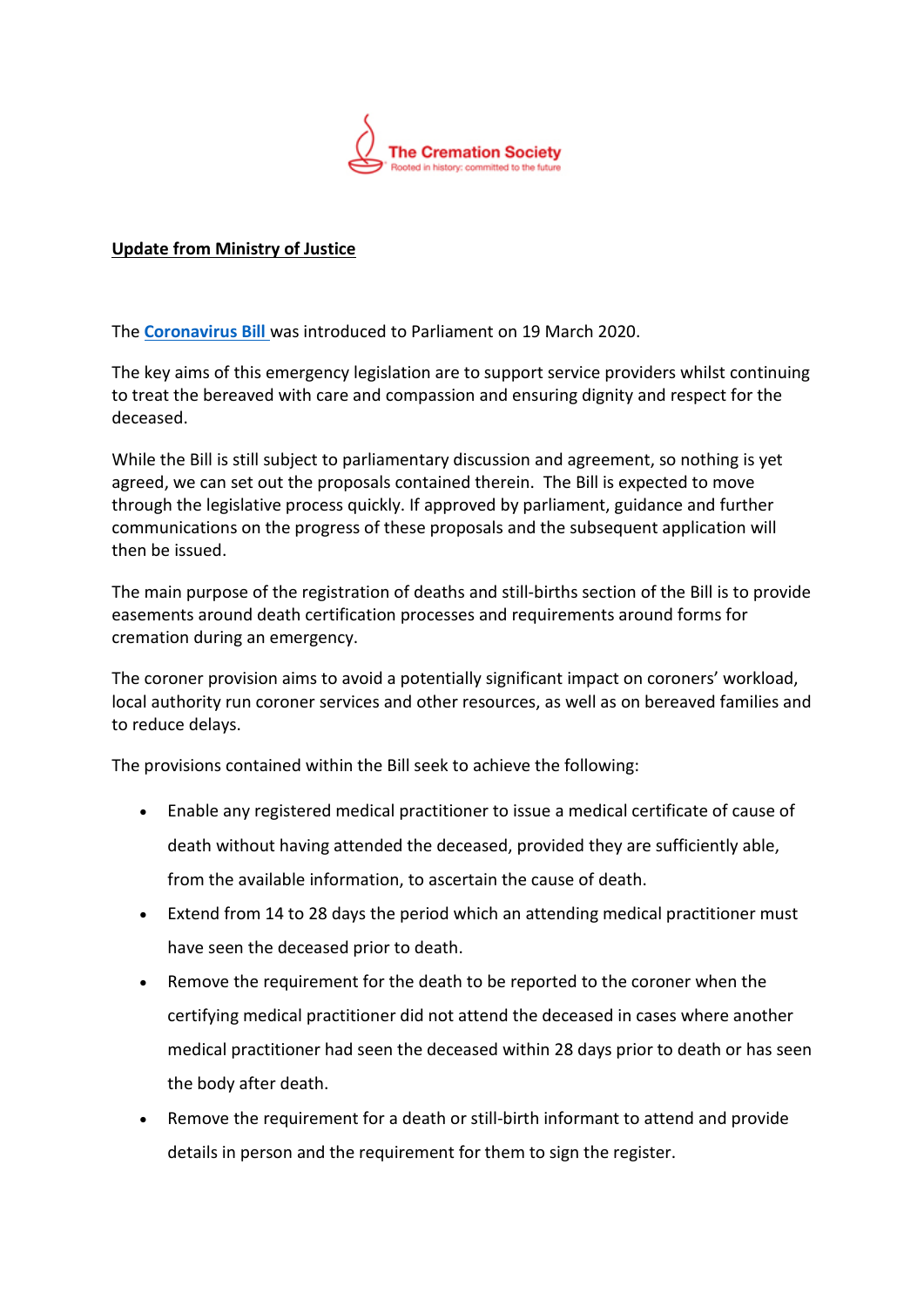

## **Update from Ministry of Justice**

The **[Coronavirus Bill](https://services.parliament.uk/Bills/2019-21/coronavirus.html)** was introduced to Parliament on 19 March 2020.

The key aims of this emergency legislation are to support service providers whilst continuing to treat the bereaved with care and compassion and ensuring dignity and respect for the deceased.

While the Bill is still subject to parliamentary discussion and agreement, so nothing is yet agreed, we can set out the proposals contained therein. The Bill is expected to move through the legislative process quickly. If approved by parliament, guidance and further communications on the progress of these proposals and the subsequent application will then be issued.

The main purpose of the registration of deaths and still-births section of the Bill is to provide easements around death certification processes and requirements around forms for cremation during an emergency.

The coroner provision aims to avoid a potentially significant impact on coroners' workload, local authority run coroner services and other resources, as well as on bereaved families and to reduce delays.

The provisions contained within the Bill seek to achieve the following:

- Enable any registered medical practitioner to issue a medical certificate of cause of death without having attended the deceased, provided they are sufficiently able, from the available information, to ascertain the cause of death.
- Extend from 14 to 28 days the period which an attending medical practitioner must have seen the deceased prior to death.
- Remove the requirement for the death to be reported to the coroner when the certifying medical practitioner did not attend the deceased in cases where another medical practitioner had seen the deceased within 28 days prior to death or has seen the body after death.
- Remove the requirement for a death or still-birth informant to attend and provide details in person and the requirement for them to sign the register.